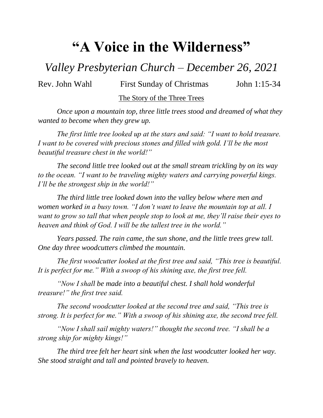## **"A Voice in the Wilderness"**

*Valley Presbyterian Church – December 26, 2021*

Rev. John Wahl First Sunday of Christmas John 1:15-34

## The Story of the Three Trees

*Once upon a mountain top, three little trees stood and dreamed of what they wanted to become when they grew up.*

*The first little tree looked up at the stars and said: "I want to hold treasure. I want to be covered with precious stones and filled with gold. I'll be the most beautiful treasure chest in the world!"*

*The second little tree looked out at the small stream trickling by on its way to the ocean. "I want to be traveling mighty waters and carrying powerful kings. I'll be the strongest ship in the world!"*

*The third little tree looked down into the valley below where men and women worked in a busy town. "I don't want to leave the mountain top at all. I want to grow so tall that when people stop to look at me, they'll raise their eyes to heaven and think of God. I will be the tallest tree in the world."*

*Years passed. The rain came, the sun shone, and the little trees grew tall. One day three woodcutters climbed the mountain.*

*The first woodcutter looked at the first tree and said, "This tree is beautiful. It is perfect for me." With a swoop of his shining axe, the first tree fell.*

*"Now I shall be made into a beautiful chest. I shall hold wonderful treasure!" the first tree said.*

*The second woodcutter looked at the second tree and said, "This tree is strong. It is perfect for me." With a swoop of his shining axe, the second tree fell.*

*"Now I shall sail mighty waters!" thought the second tree. "I shall be a strong ship for mighty kings!"*

*The third tree felt her heart sink when the last woodcutter looked her way. She stood straight and tall and pointed bravely to heaven.*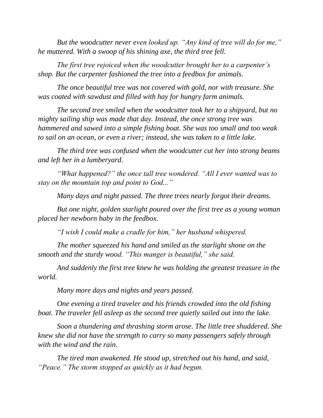*But the woodcutter never even looked up. "Any kind of tree will do for me," he muttered. With a swoop of his shining axe, the third tree fell.*

*The first tree rejoiced when the woodcutter brought her to a carpenter's shop. But the carpenter fashioned the tree into a feedbox for animals.*

*The once beautiful tree was not covered with gold, nor with treasure. She was coated with sawdust and filled with hay for hungry farm animals.*

*The second tree smiled when the woodcutter took her to a shipyard, but no mighty sailing ship was made that day. Instead, the once strong tree was hammered and sawed into a simple fishing boat. She was too small and too weak to sail on an ocean, or even a river; instead, she was taken to a little lake.*

*The third tree was confused when the woodcutter cut her into strong beams and left her in a lumberyard.*

*"What happened?" the once tall tree wondered. "All I ever wanted was to stay on the mountain top and point to God..."*

*Many days and night passed. The three trees nearly forgot their dreams.*

*But one night, golden starlight poured over the first tree as a young woman placed her newborn baby in the feedbox.*

*"I wish I could make a cradle for him," her husband whispered.*

*The mother squeezed his hand and smiled as the starlight shone on the smooth and the sturdy wood. "This manger is beautiful," she said.*

*And suddenly the first tree knew he was holding the greatest treasure in the world.*

*Many more days and nights and years passed.*

*One evening a tired traveler and his friends crowded into the old fishing boat. The traveler fell asleep as the second tree quietly sailed out into the lake.*

*Soon a thundering and thrashing storm arose. The little tree shuddered. She knew she did not have the strength to carry so many passengers safely through with the wind and the rain.*

*The tired man awakened. He stood up, stretched out his hand, and said, "Peace." The storm stopped as quickly as it had begun.*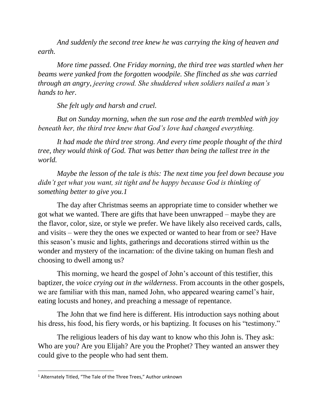*And suddenly the second tree knew he was carrying the king of heaven and earth.*

*More time passed. One Friday morning, the third tree was startled when her beams were yanked from the forgotten woodpile. She flinched as she was carried through an angry, jeering crowd. She shuddered when soldiers nailed a man's hands to her.*

*She felt ugly and harsh and cruel.*

*But on Sunday morning, when the sun rose and the earth trembled with joy beneath her, the third tree knew that God's love had changed everything.*

*It had made the third tree strong. And every time people thought of the third tree, they would think of God. That was better than being the tallest tree in the world.*

*Maybe the lesson of the tale is this: The next time you feel down because you didn't get what you want, sit tight and be happy because God is thinking of something better to give you.1*

The day after Christmas seems an appropriate time to consider whether we got what we wanted. There are gifts that have been unwrapped – maybe they are the flavor, color, size, or style we prefer. We have likely also received cards, calls, and visits – were they the ones we expected or wanted to hear from or see? Have this season's music and lights, gatherings and decorations stirred within us the wonder and mystery of the incarnation: of the divine taking on human flesh and choosing to dwell among us?

This morning, we heard the gospel of John's account of this testifier, this baptizer, the *voice crying out in the wilderness*. From accounts in the other gospels, we are familiar with this man, named John, who appeared wearing camel's hair, eating locusts and honey, and preaching a message of repentance.

The John that we find here is different. His introduction says nothing about his dress, his food, his fiery words, or his baptizing. It focuses on his "testimony."

The religious leaders of his day want to know who this John is. They ask: Who are you? Are you Elijah? Are you the Prophet? They wanted an answer they could give to the people who had sent them.

 $\overline{\phantom{a}}$ 

<sup>&</sup>lt;sup>1</sup> Alternately Titled, "The Tale of the Three Trees," Author unknown